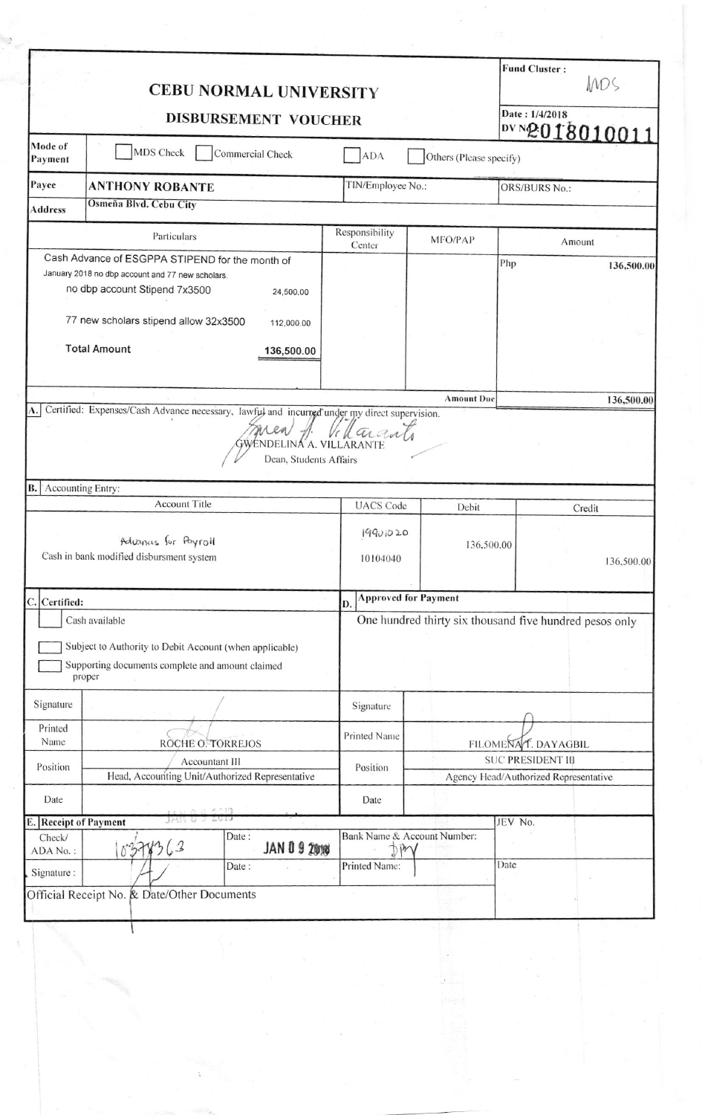|                       | <b>CEBU NORMAL UNIVERSITY</b>                                                                                                                                                                                                                 |                                   |                             | <b>Fund Cluster:</b><br>MDS<br>Date: 1/4/2018<br>DVN20180100 |  |  |  |
|-----------------------|-----------------------------------------------------------------------------------------------------------------------------------------------------------------------------------------------------------------------------------------------|-----------------------------------|-----------------------------|--------------------------------------------------------------|--|--|--|
|                       | <b>DISBURSEMENT VOUCHER</b>                                                                                                                                                                                                                   |                                   |                             |                                                              |  |  |  |
| Mode of<br>Payment    | MDS Check<br>Commercial Check                                                                                                                                                                                                                 | <b>ADA</b>                        | Others (Please specify)     |                                                              |  |  |  |
| Payee                 | <b>ANTHONY ROBANTE</b>                                                                                                                                                                                                                        | TIN/Employee No.:                 |                             | <b>ORS/BURS No.:</b>                                         |  |  |  |
| <b>Address</b>        | Osmeña Blvd. Cebu City                                                                                                                                                                                                                        |                                   |                             |                                                              |  |  |  |
|                       | Particulars                                                                                                                                                                                                                                   | Responsibility<br>Center          | MFO/PAP                     | Amount                                                       |  |  |  |
|                       | Cash Advance of ESGPPA STIPEND for the month of<br>January 2018 no dbp account and 77 new scholars.<br>no dbp account Stipend 7x3500<br>24,500.00<br>77 new scholars stipend allow 32x3500<br>112,000.00<br><b>Total Amount</b><br>136,500.00 |                                   |                             | Php<br>136,500.00                                            |  |  |  |
|                       |                                                                                                                                                                                                                                               |                                   |                             |                                                              |  |  |  |
| A.I                   | Certified: Expenses/Cash Advance necessary, lawful and incurred under my direct supervision.<br>$\mathcal{L}$<br>ENDELINÁ A. VILLARANTE<br>Dean, Students Affairs                                                                             |                                   |                             |                                                              |  |  |  |
| B.                    | Accounting Entry:                                                                                                                                                                                                                             |                                   |                             |                                                              |  |  |  |
|                       | <b>Account Title</b>                                                                                                                                                                                                                          | <b>UACS</b> Code                  | Debit                       | Credit                                                       |  |  |  |
|                       | Advances for Payroll<br>Cash in bank modified disbursment system                                                                                                                                                                              | 19901020<br>10104040              |                             | 136,500.00<br>136,500.00                                     |  |  |  |
| C. Certified:         |                                                                                                                                                                                                                                               | D.                                | <b>Approved for Payment</b> |                                                              |  |  |  |
|                       | Cash available<br>Subject to Authority to Debit Account (when applicable)<br>Supporting documents complete and amount claimed<br>proper                                                                                                       |                                   |                             | One hundred thirty six thousand five hundred pesos only      |  |  |  |
| Signature             |                                                                                                                                                                                                                                               | Signature                         |                             |                                                              |  |  |  |
| Printed               |                                                                                                                                                                                                                                               | Printed Name                      |                             |                                                              |  |  |  |
| Name<br>Position      | ROCHE O. TORREJOS<br>Accountant III                                                                                                                                                                                                           | Position                          |                             | FILOMENA T. DAYAGBIL<br><b>SUC PRESIDENT III</b>             |  |  |  |
| Date                  | Head, Accounting Unit/Authorized Representative                                                                                                                                                                                               | Date                              |                             | Agency Head/Authorized Representative                        |  |  |  |
| E. Receipt of Payment | JAN U                                                                                                                                                                                                                                         |                                   |                             | JEV No.                                                      |  |  |  |
| Check/<br>ADA No.:    | Date:<br>0378363<br><b>JAN 09 2018</b>                                                                                                                                                                                                        | Bank Name & Account Number:<br>im |                             |                                                              |  |  |  |
| Signature:            | Date:                                                                                                                                                                                                                                         | Printed Name:                     |                             | Date                                                         |  |  |  |
|                       | Official Receipt No. & Date/Other Documents                                                                                                                                                                                                   |                                   |                             |                                                              |  |  |  |
|                       |                                                                                                                                                                                                                                               |                                   |                             |                                                              |  |  |  |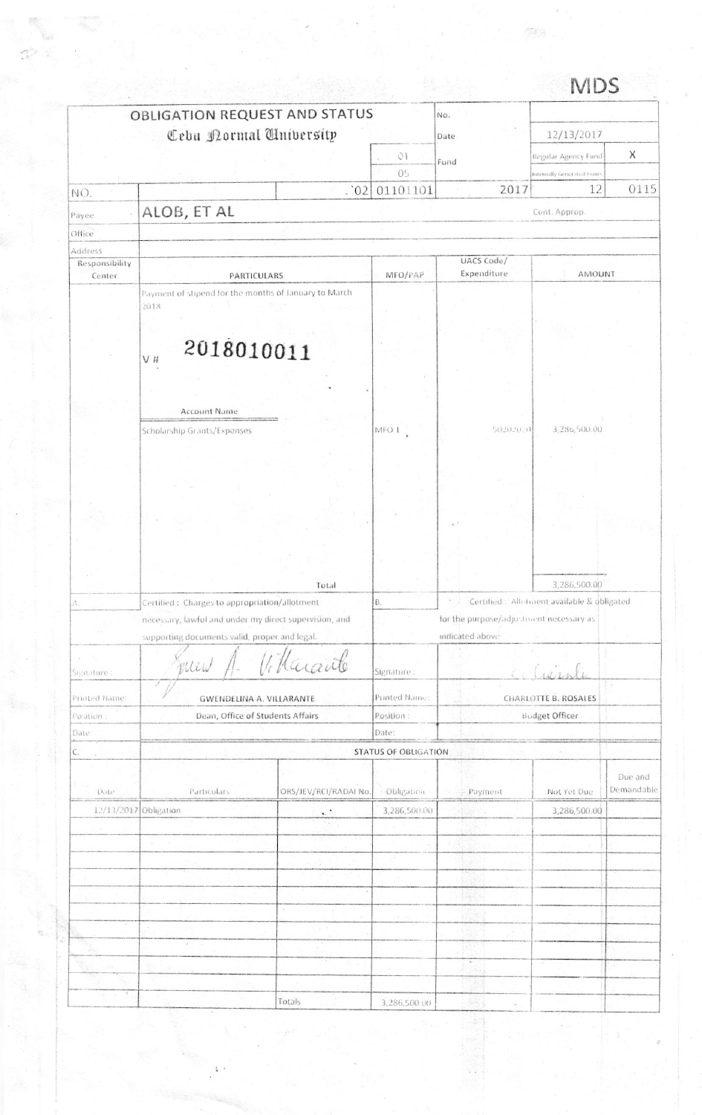|                          |                                                        |                      |                                         |                           | <b>NDS</b>                                 |            |  |  |  |
|--------------------------|--------------------------------------------------------|----------------------|-----------------------------------------|---------------------------|--------------------------------------------|------------|--|--|--|
|                          | OBLIGATION REQUEST AND STATUS                          |                      |                                         | No.                       |                                            |            |  |  |  |
|                          | Cebu Dormal University                                 |                      |                                         | Date                      | 12/13/2017                                 |            |  |  |  |
|                          |                                                        |                      | O1                                      |                           | Regular Agency Fund                        | X          |  |  |  |
|                          |                                                        |                      | 05                                      | Fund                      | Internally Generated Funds                 |            |  |  |  |
| NO.                      |                                                        | $\cdot$ 02           | 01101101                                | 2017                      | 12                                         | 0115       |  |  |  |
| Payee                    | ALOB, ET AL                                            |                      |                                         |                           | Cont. Approp.                              |            |  |  |  |
| Office                   |                                                        |                      |                                         |                           |                                            |            |  |  |  |
| Address                  |                                                        |                      |                                         |                           |                                            |            |  |  |  |
| Responsibility<br>Center | PARTICULARS                                            |                      | MFO/PAP                                 | UACS Code/<br>Expenditure | AMOUNT                                     |            |  |  |  |
|                          | Payment of stipend for the months of January to March  |                      |                                         |                           |                                            |            |  |  |  |
|                          | 2018                                                   |                      |                                         |                           |                                            |            |  |  |  |
|                          |                                                        |                      |                                         |                           |                                            |            |  |  |  |
|                          | 2018010011                                             |                      |                                         |                           |                                            |            |  |  |  |
|                          | V#                                                     |                      |                                         |                           |                                            |            |  |  |  |
|                          |                                                        |                      |                                         |                           |                                            |            |  |  |  |
|                          | <b>Account Name</b>                                    |                      |                                         |                           |                                            |            |  |  |  |
|                          |                                                        |                      | MFO <sub>1</sub>                        | 50202020                  | 3,286,500.00                               |            |  |  |  |
|                          | Scholarship Grants/Expenses                            |                      |                                         |                           |                                            |            |  |  |  |
|                          |                                                        |                      |                                         |                           |                                            |            |  |  |  |
|                          |                                                        |                      |                                         |                           |                                            |            |  |  |  |
|                          |                                                        |                      |                                         |                           |                                            |            |  |  |  |
|                          |                                                        |                      |                                         |                           |                                            |            |  |  |  |
|                          |                                                        |                      |                                         |                           |                                            |            |  |  |  |
|                          |                                                        |                      |                                         |                           |                                            |            |  |  |  |
|                          |                                                        |                      |                                         |                           | 3,286,500.00                               |            |  |  |  |
| А.                       | Certified : Charges to appropriation/allotment         | Total                | B.                                      | $\epsilon$                | Certified: Allotment available & obligated |            |  |  |  |
|                          | necessary, lawful and under my direct supervision, and |                      | for the purpose/adjustment necessary as |                           |                                            |            |  |  |  |
|                          | supporting documents valid, proper and legal.          |                      |                                         | indicated above           |                                            |            |  |  |  |
| $\epsilon$               |                                                        |                      |                                         |                           |                                            |            |  |  |  |
| Signature:               | Pillew                                                 | Villarante           | Signature:                              |                           |                                            |            |  |  |  |
| Printed Name:            | GWENDELINA A. VILLARANTE                               |                      | <b>Printed Name:</b>                    |                           | CHARLOTTE B. ROSALES                       |            |  |  |  |
| Position:                | Dean, Office of Students Affairs                       |                      | Position :                              |                           | <b>Budget Officer</b>                      |            |  |  |  |
| Date:                    |                                                        |                      | Date:                                   |                           |                                            |            |  |  |  |
| $\mathsf{C}.$            |                                                        |                      | <b>STATUS OF OBLIGATION</b>             |                           |                                            |            |  |  |  |
|                          |                                                        |                      |                                         |                           |                                            | Due and    |  |  |  |
| Date                     | Particulars                                            | ORS/JEV/RCI/RADAI No | Obligation                              | Payment                   | Not Yet Due                                | Demandable |  |  |  |
|                          | 12/13/2017 Obligation                                  |                      | 3,286,500.00                            |                           | 3,286,500.00                               |            |  |  |  |
|                          |                                                        |                      |                                         |                           |                                            |            |  |  |  |
|                          |                                                        |                      |                                         |                           |                                            |            |  |  |  |
|                          |                                                        |                      |                                         |                           |                                            |            |  |  |  |
|                          |                                                        |                      |                                         |                           |                                            |            |  |  |  |
|                          |                                                        |                      |                                         |                           |                                            |            |  |  |  |
|                          |                                                        |                      |                                         |                           |                                            |            |  |  |  |
|                          |                                                        |                      |                                         |                           |                                            |            |  |  |  |
|                          |                                                        |                      |                                         |                           |                                            |            |  |  |  |
|                          |                                                        |                      |                                         | -2014                     |                                            |            |  |  |  |
|                          |                                                        | Totals               | 3,286,500.00                            |                           |                                            |            |  |  |  |
|                          |                                                        |                      |                                         |                           |                                            |            |  |  |  |

 $\gamma$